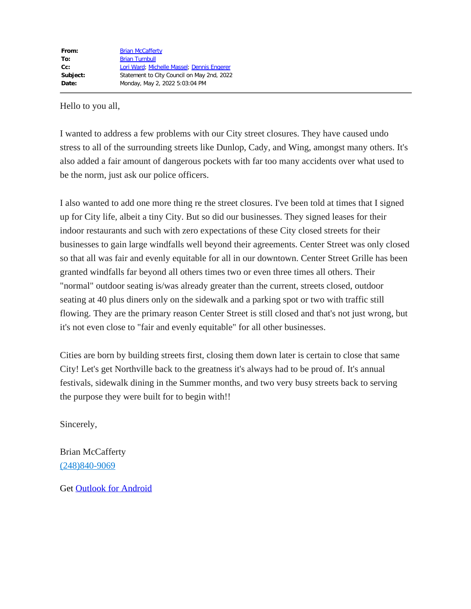# Hello to you all,

I wanted to address a few problems with our City street closures. They have caused undo stress to all of the surrounding streets like Dunlop, Cady, and Wing, amongst many others. It's also added a fair amount of dangerous pockets with far too many accidents over what used to be the norm, just ask our police officers.

I also wanted to add one more thing re the street closures. I've been told at times that I signed up for City life, albeit a tiny City. But so did our businesses. They signed leases for their indoor restaurants and such with zero expectations of these City closed streets for their businesses to gain large windfalls well beyond their agreements. Center Street was only closed so that all was fair and evenly equitable for all in our downtown. Center Street Grille has been granted windfalls far beyond all others times two or even three times all others. Their "normal" outdoor seating is/was already greater than the current, streets closed, outdoor seating at 40 plus diners only on the sidewalk and a parking spot or two with traffic still flowing. They are the primary reason Center Street is still closed and that's not just wrong, but it's not even close to "fair and evenly equitable" for all other businesses.

Cities are born by building streets first, closing them down later is certain to close that same City! Let's get Northville back to the greatness it's always had to be proud of. It's annual festivals, sidewalk dining in the Summer months, and two very busy streets back to serving the purpose they were built for to begin with!!

Sincerely,

Brian McCafferty [\(248\)840-9069](tel:+12488409069)

Get [Outlook for Android](https://aka.ms/AAb9ysg)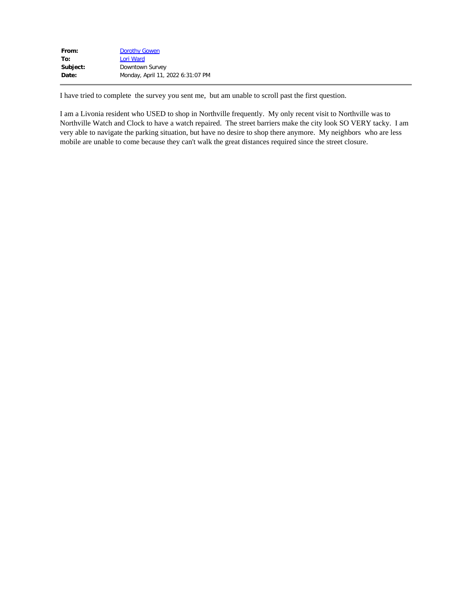| From:    | <b>Dorothy Gowen</b>              |
|----------|-----------------------------------|
| To:      | Lori Ward                         |
| Subject: | Downtown Survey                   |
| Date:    | Monday, April 11, 2022 6:31:07 PM |
|          |                                   |

I have tried to complete the survey you sent me, but am unable to scroll past the first question.

I am a Livonia resident who USED to shop in Northville frequently. My only recent visit to Northville was to Northville Watch and Clock to have a watch repaired. The street barriers make the city look SO VERY tacky. I am very able to navigate the parking situation, but have no desire to shop there anymore. My neighbors who are less mobile are unable to come because they can't walk the great distances required since the street closure.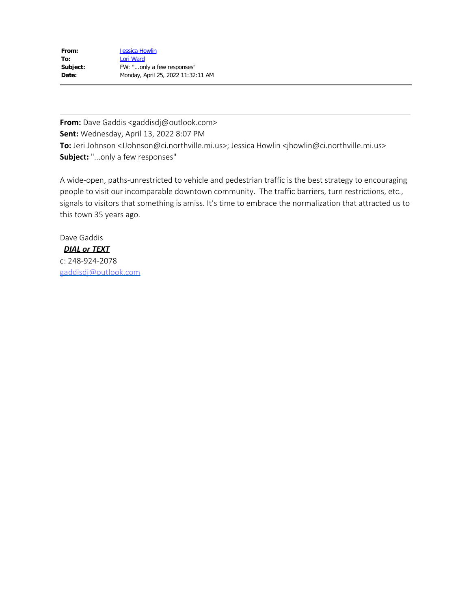| From:    | <b>Jessica Howlin</b>              |
|----------|------------------------------------|
| To:      | Lori Ward                          |
| Subject: | FW: "only a few responses"         |
| Date:    | Monday, April 25, 2022 11:32:11 AM |

**From:** Dave Gaddis <gaddisdj@outlook.com> **Sent:** Wednesday, April 13, 2022 8:07 PM **To:** Jeri Johnson <JJohnson@ci.northville.mi.us>; Jessica Howlin <jhowlin@ci.northville.mi.us> **Subject:** "...only a few responses"

A wide-open, paths-unrestricted to vehicle and pedestrian traffic is the best strategy to encouraging people to visit our incomparable downtown community. The traffic barriers, turn restrictions, etc., signals to visitors that something is amiss. It's time to embrace the normalization that attracted us to this town 35 years ago.

Dave Gaddis *DIAL or TEXT*

c: 248-924-2078 [gaddisdj@outlook.com](mailto:gaddisdj@outlook.com)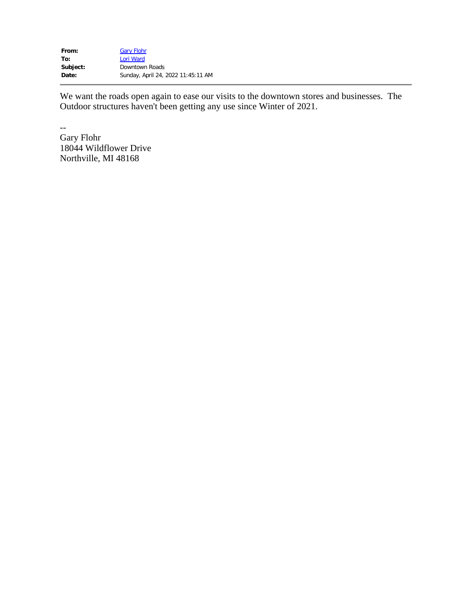| From:    | <b>Gary Flohr</b>                  |
|----------|------------------------------------|
| To:      | Lori Ward                          |
| Subject: | Downtown Roads                     |
| Date:    | Sunday, April 24, 2022 11:45:11 AM |

We want the roads open again to ease our visits to the downtown stores and businesses. The Outdoor structures haven't been getting any use since Winter of 2021.

-- Gary Flohr 18044 Wildflower Drive Northville, MI 48168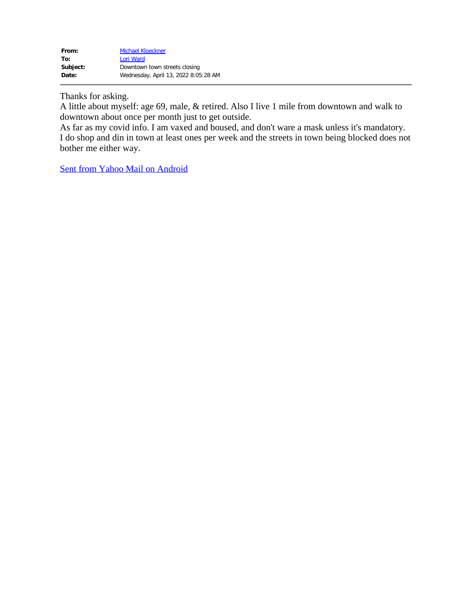Thanks for asking.

A little about myself: age 69, male, & retired. Also I live 1 mile from downtown and walk to downtown about once per month just to get outside.

As far as my covid info. I am vaxed and boused, and don't ware a mask unless it's mandatory. I do shop and din in town at least ones per week and the streets in town being blocked does not bother me either way.

[Sent from Yahoo Mail on Android](https://go.onelink.me/107872968?pid=InProduct&c=Global_Internal_YGrowth_AndroidEmailSig__AndroidUsers&af_wl=ym&af_sub1=Internal&af_sub2=Global_YGrowth&af_sub3=EmailSignature)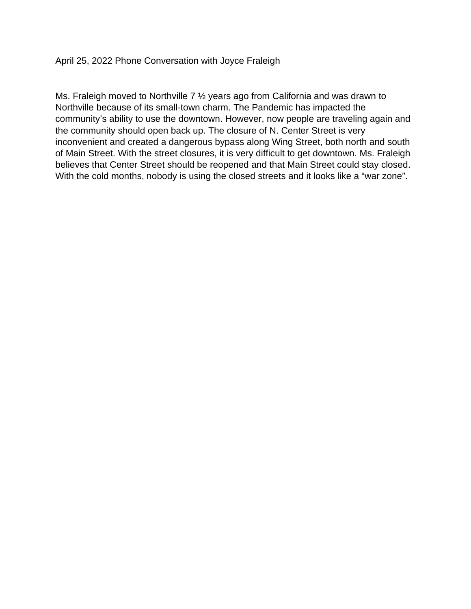Ms. Fraleigh moved to Northville 7 ½ years ago from California and was drawn to Northville because of its small-town charm. The Pandemic has impacted the community's ability to use the downtown. However, now people are traveling again and the community should open back up. The closure of N. Center Street is very inconvenient and created a dangerous bypass along Wing Street, both north and south of Main Street. With the street closures, it is very difficult to get downtown. Ms. Fraleigh believes that Center Street should be reopened and that Main Street could stay closed. With the cold months, nobody is using the closed streets and it looks like a "war zone".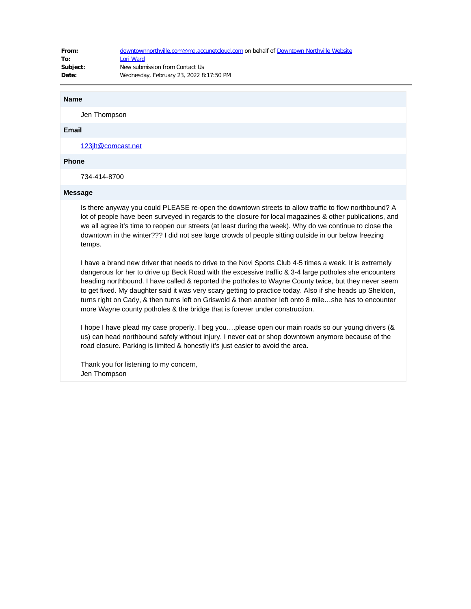| From:    | downtownnorthville.com@mg.accunetcloud.com on behalf of Downtown Northville Website |
|----------|-------------------------------------------------------------------------------------|
| To:      | Lori Ward                                                                           |
| Subject: | New submission from Contact Us                                                      |
| Date:    | Wednesday, February 23, 2022 8:17:50 PM                                             |

#### **Name**

Jen Thompson

### **Email**

[123jlt@comcast.net](mailto:123jlt@comcast.net)

# **Phone**

734-414-8700

#### **Message**

Is there anyway you could PLEASE re-open the downtown streets to allow traffic to flow northbound? A lot of people have been surveyed in regards to the closure for local magazines & other publications, and we all agree it's time to reopen our streets (at least during the week). Why do we continue to close the downtown in the winter??? I did not see large crowds of people sitting outside in our below freezing temps.

I have a brand new driver that needs to drive to the Novi Sports Club 4-5 times a week. It is extremely dangerous for her to drive up Beck Road with the excessive traffic & 3-4 large potholes she encounters heading northbound. I have called & reported the potholes to Wayne County twice, but they never seem to get fixed. My daughter said it was very scary getting to practice today. Also if she heads up Sheldon, turns right on Cady, & then turns left on Griswold & then another left onto 8 mile…she has to encounter more Wayne county potholes & the bridge that is forever under construction.

I hope I have plead my case properly. I beg you….please open our main roads so our young drivers (& us) can head northbound safely without injury. I never eat or shop downtown anymore because of the road closure. Parking is limited & honestly it's just easier to avoid the area.

Thank you for listening to my concern, Jen Thompson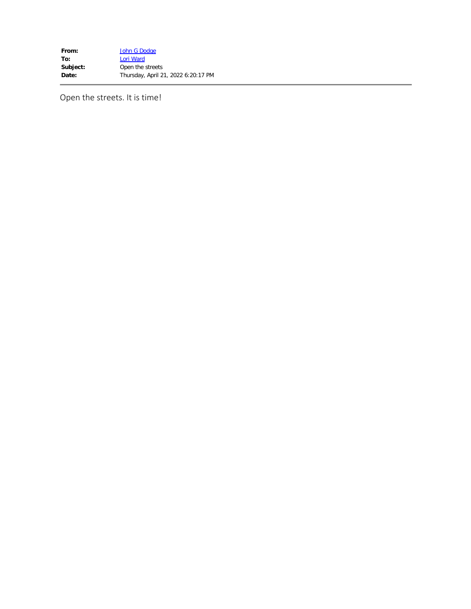**From:** [John G Dodge](mailto:pjdodge4@sbcglobal.net)<br> **To:** Lori Ward **[Lori Ward](mailto:lward@ci.northville.mi.us) Subject:** Open the streets **Date:** Thursday, April 21, 2022 6:20:17 PM

Open the streets. It is time!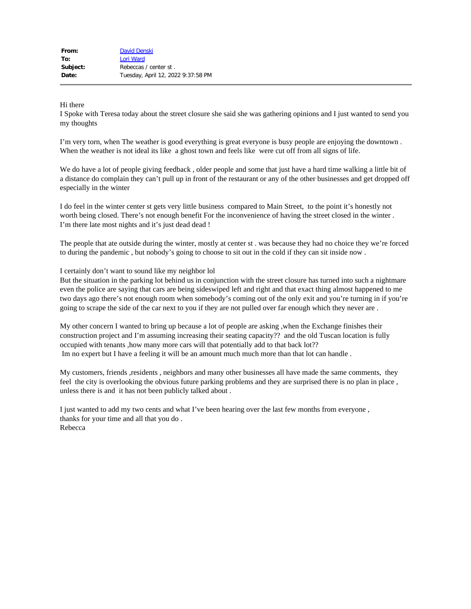## Hi there

I Spoke with Teresa today about the street closure she said she was gathering opinions and I just wanted to send you my thoughts

I'm very torn, when The weather is good everything is great everyone is busy people are enjoying the downtown . When the weather is not ideal its like a ghost town and feels like were cut off from all signs of life.

We do have a lot of people giving feedback, older people and some that just have a hard time walking a little bit of a distance do complain they can't pull up in front of the restaurant or any of the other businesses and get dropped off especially in the winter

I do feel in the winter center st gets very little business compared to Main Street, to the point it's honestly not worth being closed. There's not enough benefit For the inconvenience of having the street closed in the winter . I'm there late most nights and it's just dead dead !

The people that ate outside during the winter, mostly at center st . was because they had no choice they we're forced to during the pandemic , but nobody's going to choose to sit out in the cold if they can sit inside now .

### I certainly don't want to sound like my neighbor lol

But the situation in the parking lot behind us in conjunction with the street closure has turned into such a nightmare even the police are saying that cars are being sideswiped left and right and that exact thing almost happened to me two days ago there's not enough room when somebody's coming out of the only exit and you're turning in if you're going to scrape the side of the car next to you if they are not pulled over far enough which they never are .

My other concern I wanted to bring up because a lot of people are asking ,when the Exchange finishes their construction project and I'm assuming increasing their seating capacity?? and the old Tuscan location is fully occupied with tenants ,how many more cars will that potentially add to that back lot?? Im no expert but I have a feeling it will be an amount much much more than that lot can handle .

My customers, friends ,residents , neighbors and many other businesses all have made the same comments, they feel the city is overlooking the obvious future parking problems and they are surprised there is no plan in place , unless there is and it has not been publicly talked about .

I just wanted to add my two cents and what I've been hearing over the last few months from everyone , thanks for your time and all that you do . Rebecca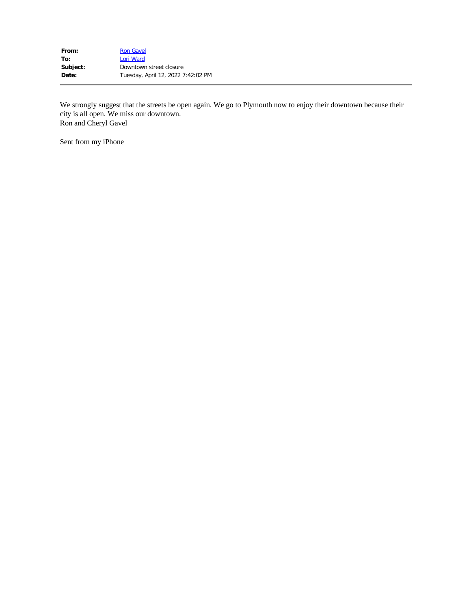| <b>Ron Gavel</b>                   |
|------------------------------------|
| Lori Ward                          |
| Downtown street closure            |
| Tuesday, April 12, 2022 7:42:02 PM |
|                                    |

We strongly suggest that the streets be open again. We go to Plymouth now to enjoy their downtown because their city is all open. We miss our downtown. Ron and Cheryl Gavel

Sent from my iPhone